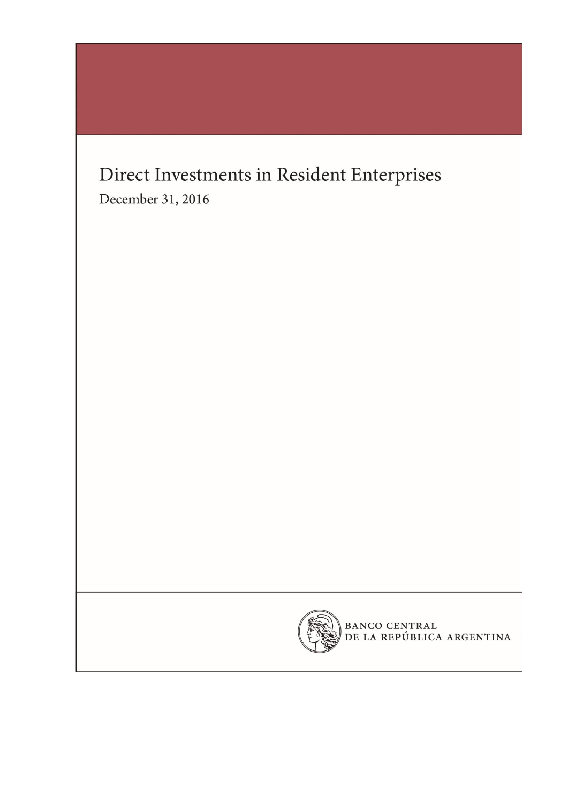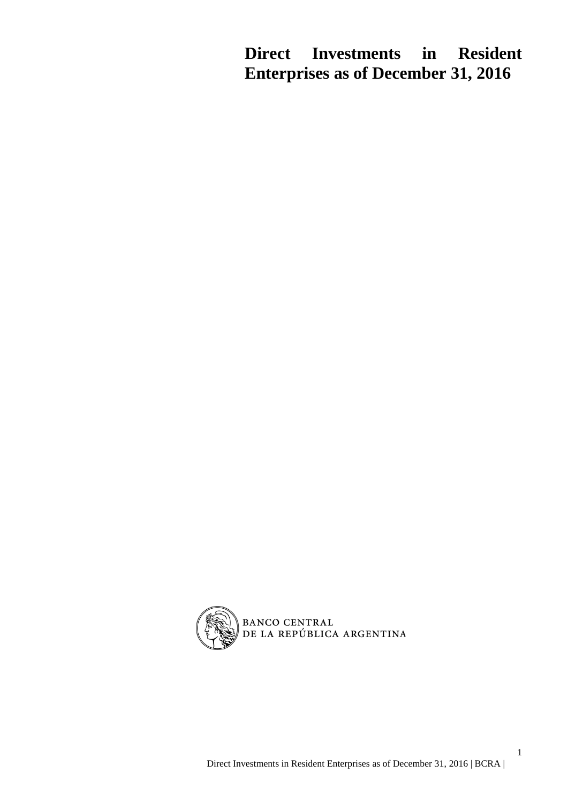**Direct Investments in Resident Enterprises as of December 31, 2016**



1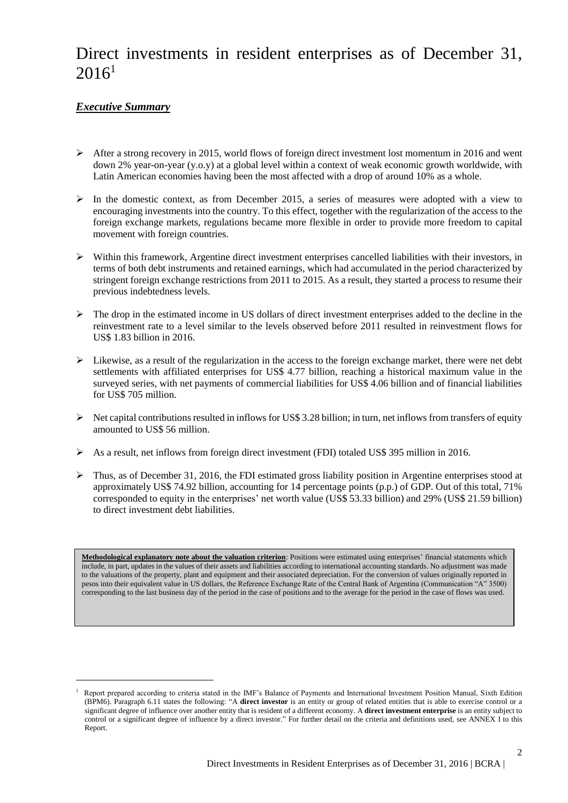# Direct investments in resident enterprises as of December 31,  $2016^1$

### *Executive Summary*

 $\overline{a}$ 

- $\triangleright$  After a strong recovery in 2015, world flows of foreign direct investment lost momentum in 2016 and went down 2% year-on-year (y.o.y) at a global level within a context of weak economic growth worldwide, with Latin American economies having been the most affected with a drop of around 10% as a whole.
- $\triangleright$  In the domestic context, as from December 2015, a series of measures were adopted with a view to encouraging investments into the country. To this effect, together with the regularization of the access to the foreign exchange markets, regulations became more flexible in order to provide more freedom to capital movement with foreign countries.
- $\triangleright$  Within this framework, Argentine direct investment enterprises cancelled liabilities with their investors, in terms of both debt instruments and retained earnings, which had accumulated in the period characterized by stringent foreign exchange restrictions from 2011 to 2015. As a result, they started a process to resume their previous indebtedness levels.
- $\triangleright$  The drop in the estimated income in US dollars of direct investment enterprises added to the decline in the reinvestment rate to a level similar to the levels observed before 2011 resulted in reinvestment flows for US\$ 1.83 billion in 2016.
- $\triangleright$  Likewise, as a result of the regularization in the access to the foreign exchange market, there were net debt settlements with affiliated enterprises for US\$ 4.77 billion, reaching a historical maximum value in the surveyed series, with net payments of commercial liabilities for US\$ 4.06 billion and of financial liabilities for US\$ 705 million.
- $\triangleright$  Net capital contributions resulted in inflows for US\$ 3.28 billion; in turn, net inflows from transfers of equity amounted to US\$ 56 million.
- $\triangleright$  As a result, net inflows from foreign direct investment (FDI) totaled US\$ 395 million in 2016.
- $\triangleright$  Thus, as of December 31, 2016, the FDI estimated gross liability position in Argentine enterprises stood at approximately US\$ 74.92 billion, accounting for 14 percentage points (p.p.) of GDP. Out of this total, 71% corresponded to equity in the enterprises' net worth value (US\$ 53.33 billion) and 29% (US\$ 21.59 billion) to direct investment debt liabilities.

**Methodological explanatory note about the valuation criterion**: Positions were estimated using enterprises' financial statements which include, in part, updates in the values of their assets and liabilities according to international accounting standards. No adjustment was made to the valuations of the property, plant and equipment and their associated depreciation. For the conversion of values originally reported in pesos into their equivalent value in US dollars, the Reference Exchange Rate of the Central Bank of Argentina (Communication "A" 3500) corresponding to the last business day of the period in the case of positions and to the average for the period in the case of flows was used.

<sup>1</sup> Report prepared according to criteria stated in the IMF's Balance of Payments and International Investment Position Manual, Sixth Edition (BPM6). Paragraph 6.11 states the following: "A **direct investor** is an entity or group of related entities that is able to exercise control or a significant degree of influence over another entity that is resident of a different economy. A **direct investment enterprise** is an entity subject to control or a significant degree of influence by a direct investor." For further detail on the criteria and definitions used, see ANNEX I to this Report.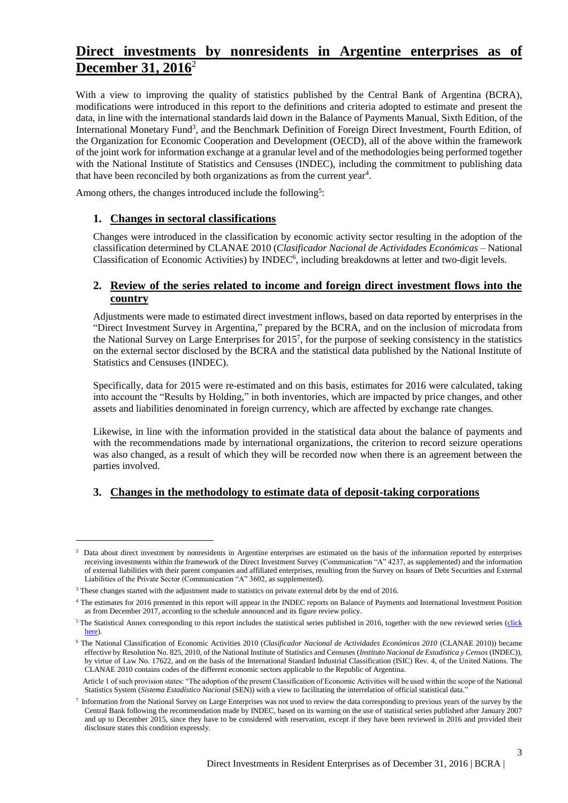### **Direct investments by nonresidents in Argentine enterprises as of December 31, 2016**<sup>2</sup>

With a view to improving the quality of statistics published by the Central Bank of Argentina (BCRA), modifications were introduced in this report to the definitions and criteria adopted to estimate and present the data, in line with the international standards laid down in the Balance of Payments Manual, Sixth Edition, of the International Monetary Fund<sup>3</sup>, and the Benchmark Definition of Foreign Direct Investment, Fourth Edition, of the Organization for Economic Cooperation and Development (OECD), all of the above within the framework of the joint work for information exchange at a granular level and of the methodologies being performed together with the National Institute of Statistics and Censuses (INDEC), including the commitment to publishing data that have been reconciled by both organizations as from the current year<sup>4</sup>.

Among others, the changes introduced include the following<sup>5</sup>:

### **1. Changes in sectoral classifications**

Changes were introduced in the classification by economic activity sector resulting in the adoption of the classification determined by CLANAE 2010 (*Clasificador Nacional de Actividades Económicas* – National Classification of Economic Activities) by INDEC<sup>6</sup>, including breakdowns at letter and two-digit levels.

### **2. Review of the series related to income and foreign direct investment flows into the country**

Adjustments were made to estimated direct investment inflows, based on data reported by enterprises in the "Direct Investment Survey in Argentina," prepared by the BCRA, and on the inclusion of microdata from the National Survey on Large Enterprises for 2015<sup>7</sup> , for the purpose of seeking consistency in the statistics on the external sector disclosed by the BCRA and the statistical data published by the National Institute of Statistics and Censuses (INDEC).

Specifically, data for 2015 were re-estimated and on this basis, estimates for 2016 were calculated, taking into account the "Results by Holding," in both inventories, which are impacted by price changes, and other assets and liabilities denominated in foreign currency, which are affected by exchange rate changes.

Likewise, in line with the information provided in the statistical data about the balance of payments and with the recommendations made by international organizations, the criterion to record seizure operations was also changed, as a result of which they will be recorded now when there is an agreement between the parties involved.

### **3. Changes in the methodology to estimate data of deposit-taking corporations**

<sup>2</sup> Data about direct investment by nonresidents in Argentine enterprises are estimated on the basis of the information reported by enterprises receiving investments within the framework of the Direct Investment Survey (Communication "A" 4237, as supplemented) and the information of external liabilities with their parent companies and affiliated enterprises, resulting from the Survey on Issues of Debt Securities and External Liabilities of the Private Sector (Communication "A" 3602, as supplemented).

<sup>&</sup>lt;sup>3</sup> These changes started with the adjustment made to statistics on private external debt by the end of 2016.

<sup>4</sup> The estimates for 2016 presented in this report will appear in the INDEC reports on Balance of Payments and International Investment Position as from December 2017, according to the schedule announced and its figure review policy.

<sup>&</sup>lt;sup>5</sup> The Statistical Annex corresponding to this report includes the statistical series published in 2016, together with the new reviewed series (click [here\)](http://www.bcra.gov.ar/Pdfs/PublicacionesEstadisticas/AnexoIED.xls).

<sup>6</sup> The National Classification of Economic Activities 2010 (*Clasificador Nacional de Actividades Económicas 2010* (CLANAE 2010)) became effective by Resolution No. 825, 2010, of the National Institute of Statistics and Censuses (*Instituto Nacional de Estadística y Censos* (INDEC)), by virtue of Law No. 17622, and on the basis of the International Standard Industrial Classification (ISIC) Rev. 4, of the United Nations. The CLANAE 2010 contains codes of the different economic sectors applicable to the Republic of Argentina.

Article 1 of such provision states: "The adoption of the present Classification of Economic Activities will be used within the scope of the National Statistics System (*Sistema Estadístico Nacional* (SEN)) with a view to facilitating the interrelation of official statistical data."

<sup>7</sup> Information from the National Survey on Large Enterprises was not used to review the data corresponding to previous years of the survey by the Central Bank following the recommendation made by INDEC, based on its warning on the use of statistical series published after January 2007 and up to December 2015, since they have to be considered with reservation, except if they have been reviewed in 2016 and provided their disclosure states this condition expressly.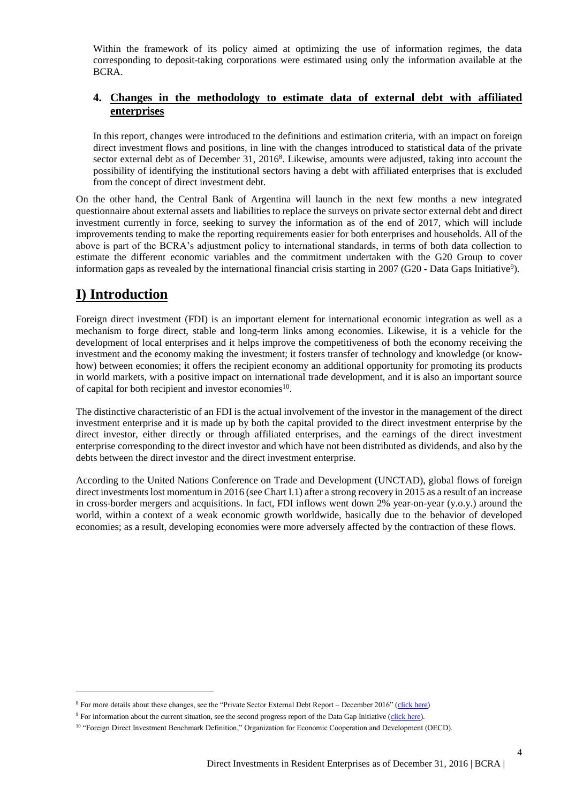Within the framework of its policy aimed at optimizing the use of information regimes, the data corresponding to deposit-taking corporations were estimated using only the information available at the BCRA.

### **4. Changes in the methodology to estimate data of external debt with affiliated enterprises**

In this report, changes were introduced to the definitions and estimation criteria, with an impact on foreign direct investment flows and positions, in line with the changes introduced to statistical data of the private sector external debt as of December 31, 2016<sup>8</sup>. Likewise, amounts were adjusted, taking into account the possibility of identifying the institutional sectors having a debt with affiliated enterprises that is excluded from the concept of direct investment debt.

On the other hand, the Central Bank of Argentina will launch in the next few months a new integrated questionnaire about external assets and liabilities to replace the surveys on private sector external debt and direct investment currently in force, seeking to survey the information as of the end of 2017, which will include improvements tending to make the reporting requirements easier for both enterprises and households. All of the above is part of the BCRA's adjustment policy to international standards, in terms of both data collection to estimate the different economic variables and the commitment undertaken with the G20 Group to cover information gaps as revealed by the international financial crisis starting in  $2007$  (G20 - Data Gaps Initiative<sup>9</sup>).

## **I) Introduction**

 $\overline{a}$ 

Foreign direct investment (FDI) is an important element for international economic integration as well as a mechanism to forge direct, stable and long-term links among economies. Likewise, it is a vehicle for the development of local enterprises and it helps improve the competitiveness of both the economy receiving the investment and the economy making the investment; it fosters transfer of technology and knowledge (or knowhow) between economies; it offers the recipient economy an additional opportunity for promoting its products in world markets, with a positive impact on international trade development, and it is also an important source of capital for both recipient and investor economies<sup>10</sup>.

The distinctive characteristic of an FDI is the actual involvement of the investor in the management of the direct investment enterprise and it is made up by both the capital provided to the direct investment enterprise by the direct investor, either directly or through affiliated enterprises, and the earnings of the direct investment enterprise corresponding to the direct investor and which have not been distributed as dividends, and also by the debts between the direct investor and the direct investment enterprise.

According to the United Nations Conference on Trade and Development (UNCTAD), global flows of foreign direct investments lost momentum in 2016 (see Chart I.1) after a strong recovery in 2015 as a result of an increase in cross-border mergers and acquisitions. In fact, FDI inflows went down 2% year-on-year (y.o.y.) around the world, within a context of a weak economic growth worldwide, basically due to the behavior of developed economies; as a result, developing economies were more adversely affected by the contraction of these flows.

<sup>&</sup>lt;sup>8</sup> For more details about these changes, see the "Private Sector External Debt Report – December 2016" [\(click here\)](http://www.bcra.gov.ar/Pdfs/PublicacionesEstadisticas/IV_2016_Deuda_privada.pdf)

<sup>&</sup>lt;sup>9</sup> For information about the current situation, see the second progress report of the Data Gap Initiative [\(click here\)](http://www.imf.org/external/np/g20/pdf/2017/092117.pdf).

<sup>&</sup>lt;sup>10</sup> "Foreign Direct Investment Benchmark Definition," Organization for Economic Cooperation and Development (OECD).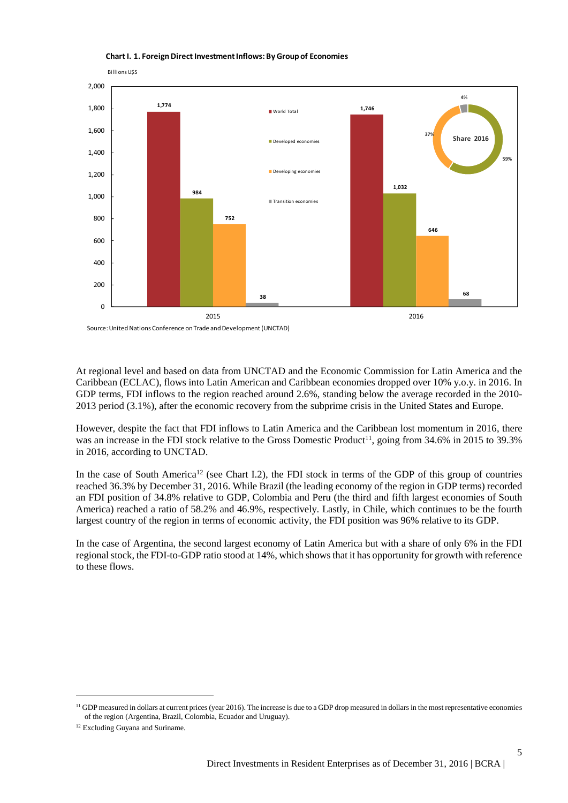

#### **Chart I. 1. Foreign Direct Investment Inflows: By Group of Economies**

At regional level and based on data from UNCTAD and the Economic Commission for Latin America and the Caribbean (ECLAC), flows into Latin American and Caribbean economies dropped over 10% y.o.y. in 2016. In GDP terms, FDI inflows to the region reached around 2.6%, standing below the average recorded in the 2010- 2013 period (3.1%), after the economic recovery from the subprime crisis in the United States and Europe.

However, despite the fact that FDI inflows to Latin America and the Caribbean lost momentum in 2016, there was an increase in the FDI stock relative to the Gross Domestic Product<sup>11</sup>, going from 34.6% in 2015 to 39.3% in 2016, according to UNCTAD.

In the case of South America<sup>12</sup> (see Chart I.2), the FDI stock in terms of the GDP of this group of countries reached 36.3% by December 31, 2016. While Brazil (the leading economy of the region in GDP terms) recorded an FDI position of 34.8% relative to GDP, Colombia and Peru (the third and fifth largest economies of South America) reached a ratio of 58.2% and 46.9%, respectively. Lastly, in Chile, which continues to be the fourth largest country of the region in terms of economic activity, the FDI position was 96% relative to its GDP.

In the case of Argentina, the second largest economy of Latin America but with a share of only 6% in the FDI regional stock, the FDI-to-GDP ratio stood at 14%, which shows that it has opportunity for growth with reference to these flows.

 $<sup>11</sup>$  GDP measured in dollars at current prices (year 2016). The increase is due to a GDP drop measured in dollars in the most representative economies</sup> of the region (Argentina, Brazil, Colombia, Ecuador and Uruguay).

<sup>&</sup>lt;sup>12</sup> Excluding Guyana and Suriname.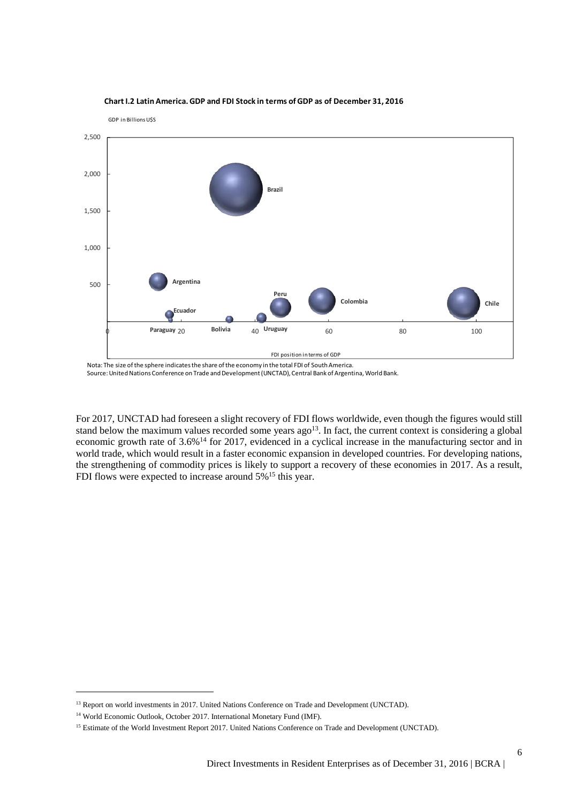

#### **Chart I.2 Latin America. GDP and FDI Stock in terms of GDP as of December 31, 2016**

GDP in Billions U\$S

Source: United Nations Conference on Trade and Development (UNCTAD), Central Bank of Argentina, World Bank.

For 2017, UNCTAD had foreseen a slight recovery of FDI flows worldwide, even though the figures would still stand below the maximum values recorded some years  $ago<sup>13</sup>$ . In fact, the current context is considering a global economic growth rate of 3.6%<sup>14</sup> for 2017, evidenced in a cyclical increase in the manufacturing sector and in world trade, which would result in a faster economic expansion in developed countries. For developing nations, the strengthening of commodity prices is likely to support a recovery of these economies in 2017. As a result, FDI flows were expected to increase around 5%<sup>15</sup> this year.

<sup>&</sup>lt;sup>13</sup> Report on world investments in 2017. United Nations Conference on Trade and Development (UNCTAD).

<sup>&</sup>lt;sup>14</sup> World Economic Outlook, October 2017. International Monetary Fund (IMF).

<sup>&</sup>lt;sup>15</sup> Estimate of the World Investment Report 2017. United Nations Conference on Trade and Development (UNCTAD).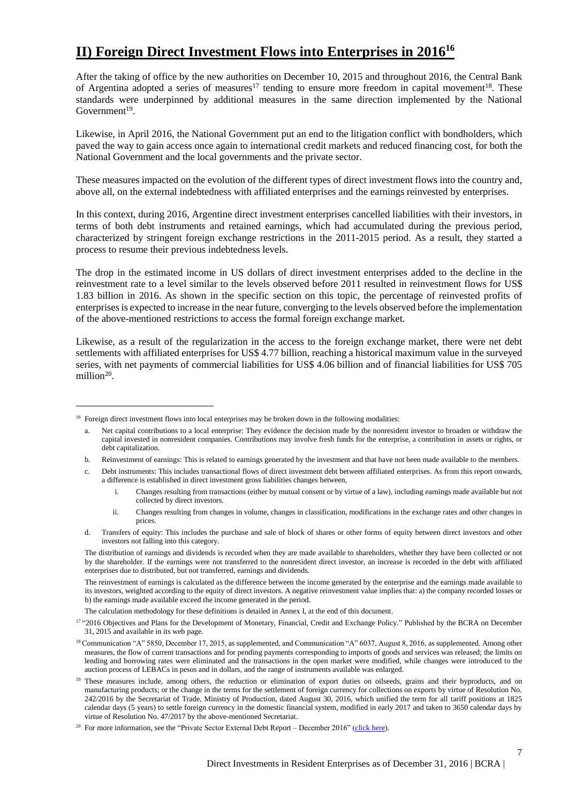## **II) Foreign Direct Investment Flows into Enterprises in 2016<sup>16</sup>**

After the taking of office by the new authorities on December 10, 2015 and throughout 2016, the Central Bank of Argentina adopted a series of measures<sup>17</sup> tending to ensure more freedom in capital movement<sup>18</sup>. These standards were underpinned by additional measures in the same direction implemented by the National  $Government<sup>19</sup>$ .

Likewise, in April 2016, the National Government put an end to the litigation conflict with bondholders, which paved the way to gain access once again to international credit markets and reduced financing cost, for both the National Government and the local governments and the private sector.

These measures impacted on the evolution of the different types of direct investment flows into the country and, above all, on the external indebtedness with affiliated enterprises and the earnings reinvested by enterprises.

In this context, during 2016, Argentine direct investment enterprises cancelled liabilities with their investors, in terms of both debt instruments and retained earnings, which had accumulated during the previous period, characterized by stringent foreign exchange restrictions in the 2011-2015 period. As a result, they started a process to resume their previous indebtedness levels.

The drop in the estimated income in US dollars of direct investment enterprises added to the decline in the reinvestment rate to a level similar to the levels observed before 2011 resulted in reinvestment flows for US\$ 1.83 billion in 2016. As shown in the specific section on this topic, the percentage of reinvested profits of enterprisesis expected to increase in the near future, converging to the levels observed before the implementation of the above-mentioned restrictions to access the formal foreign exchange market.

Likewise, as a result of the regularization in the access to the foreign exchange market, there were net debt settlements with affiliated enterprises for US\$ 4.77 billion, reaching a historical maximum value in the surveyed series, with net payments of commercial liabilities for US\$ 4.06 billion and of financial liabilities for US\$ 705 million<sup>20</sup>.

 $\overline{a}$ 

b. Reinvestment of earnings: This is related to earnings generated by the investment and that have not been made available to the members.

d. Transfers of equity: This includes the purchase and sale of block of shares or other forms of equity between direct investors and other investors not falling into this category.

The distribution of earnings and dividends is recorded when they are made available to shareholders, whether they have been collected or not by the shareholder. If the earnings were not transferred to the nonresident direct investor, an increase is recorded in the debt with affiliated enterprises due to distributed, but not transferred, earnings and dividends.

The reinvestment of earnings is calculated as the difference between the income generated by the enterprise and the earnings made available to its investors, weighted according to the equity of direct investors. A negative reinvestment value implies that: a) the company recorded losses or b) the earnings made available exceed the income generated in the period.

The calculation methodology for these definitions is detailed in Annex I, at the end of this document.

 $16$  Foreign direct investment flows into local enterprises may be broken down in the following modalities:

a. Net capital contributions to a local enterprise: They evidence the decision made by the nonresident investor to broaden or withdraw the capital invested in nonresident companies. Contributions may involve fresh funds for the enterprise, a contribution in assets or rights, or debt capitalization.

c. Debt instruments: This includes transactional flows of direct investment debt between affiliated enterprises. As from this report onwards, a difference is established in direct investment gross liabilities changes between,

i. Changes resulting from transactions (either by mutual consent or by virtue of a law), including earnings made available but not collected by direct investors.

ii. Changes resulting from changes in volume, changes in classification, modifications in the exchange rates and other changes in prices.

<sup>&</sup>lt;sup>17</sup> "2016 Objectives and Plans for the Development of Monetary, Financial, Credit and Exchange Policy." Published by the BCRA on December 31, 2015 and available in its web page.

<sup>&</sup>lt;sup>18</sup> Communication "A" 5850, December 17, 2015, as supplemented, and Communication "A" 6037, August 8, 2016, as supplemented. Among other measures, the flow of current transactions and for pending payments corresponding to imports of goods and services was released; the limits on lending and borrowing rates were eliminated and the transactions in the open market were modified, while changes were introduced to the auction process of LEBACs in pesos and in dollars, and the range of instruments available was enlarged.

<sup>&</sup>lt;sup>19</sup> These measures include, among others, the reduction or elimination of export duties on oilseeds, grains and their byproducts, and on manufacturing products; or the change in the terms for the settlement of foreign currency for collections on exports by virtue of Resolution No. 242/2016 by the Secretariat of Trade, Ministry of Production, dated August 30, 2016, which unified the term for all tariff positions at 1825 calendar days (5 years) to settle foreign currency in the domestic financial system, modified in early 2017 and taken to 3650 calendar days by virtue of Resolution No. 47/2017 by the above-mentioned Secretariat.

<sup>&</sup>lt;sup>20</sup> For more information, see the "Private Sector External Debt Report – December 2016" [\(click here\)](http://www.bcra.gov.ar/Pdfs/PublicacionesEstadisticas/IV_2016_Deuda_privada.pdf).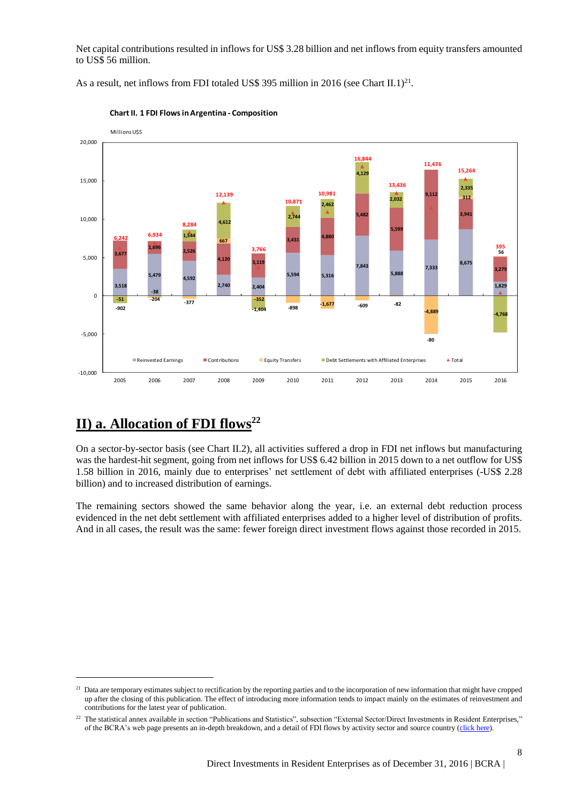Net capital contributions resulted in inflows for US\$ 3.28 billion and net inflows from equity transfers amounted to US\$ 56 million.

As a result, net inflows from FDI totaled US\$ 395 million in 2016 (see Chart II.1)<sup>21</sup>.



**Chart II. 1 FDI Flows in Argentina - Composition**

## **II) a. Allocation of FDI flows<sup>22</sup>**

 $\overline{a}$ 

On a sector-by-sector basis (see Chart II.2), all activities suffered a drop in FDI net inflows but manufacturing was the hardest-hit segment, going from net inflows for US\$ 6.42 billion in 2015 down to a net outflow for US\$ 1.58 billion in 2016, mainly due to enterprises' net settlement of debt with affiliated enterprises (-US\$ 2.28 billion) and to increased distribution of earnings.

The remaining sectors showed the same behavior along the year, i.e. an external debt reduction process evidenced in the net debt settlement with affiliated enterprises added to a higher level of distribution of profits. And in all cases, the result was the same: fewer foreign direct investment flows against those recorded in 2015.

<sup>&</sup>lt;sup>21</sup> Data are temporary estimates subject to rectification by the reporting parties and to the incorporation of new information that might have cropped up after the closing of this publication. The effect of introducing more information tends to impact mainly on the estimates of reinvestment and contributions for the latest year of publication.

<sup>&</sup>lt;sup>22</sup> The statistical annex available in section "Publications and Statistics", subsection "External Sector/Direct Investments in Resident Enterprises," of the BCRA's web page presents an in-depth breakdown, and a detail of FDI flows by activity sector and source country [\(click here\)](http://www.bcra.gov.ar/Pdfs/PublicacionesEstadisticas/AnexoIED.xls).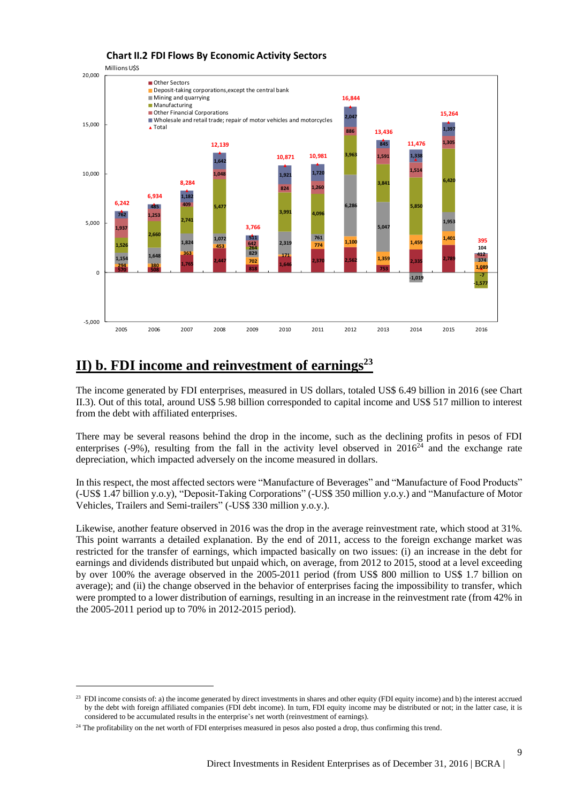

## **II) b. FDI income and reinvestment of earnings<sup>23</sup>**

The income generated by FDI enterprises, measured in US dollars, totaled US\$ 6.49 billion in 2016 (see Chart II.3). Out of this total, around US\$ 5.98 billion corresponded to capital income and US\$ 517 million to interest from the debt with affiliated enterprises.

There may be several reasons behind the drop in the income, such as the declining profits in pesos of FDI enterprises  $(-9%)$ , resulting from the fall in the activity level observed in  $2016<sup>24</sup>$  and the exchange rate depreciation, which impacted adversely on the income measured in dollars.

In this respect, the most affected sectors were "Manufacture of Beverages" and "Manufacture of Food Products" (-US\$ 1.47 billion y.o.y), "Deposit-Taking Corporations" (-US\$ 350 million y.o.y.) and "Manufacture of Motor Vehicles, Trailers and Semi-trailers" (-US\$ 330 million y.o.y.).

Likewise, another feature observed in 2016 was the drop in the average reinvestment rate, which stood at 31%. This point warrants a detailed explanation. By the end of 2011, access to the foreign exchange market was restricted for the transfer of earnings, which impacted basically on two issues: (i) an increase in the debt for earnings and dividends distributed but unpaid which, on average, from 2012 to 2015, stood at a level exceeding by over 100% the average observed in the 2005-2011 period (from US\$ 800 million to US\$ 1.7 billion on average); and (ii) the change observed in the behavior of enterprises facing the impossibility to transfer, which were prompted to a lower distribution of earnings, resulting in an increase in the reinvestment rate (from 42% in the 2005-2011 period up to 70% in 2012-2015 period).

 $^{23}$  FDI income consists of: a) the income generated by direct investments in shares and other equity (FDI equity income) and b) the interest accrued by the debt with foreign affiliated companies (FDI debt income). In turn, FDI equity income may be distributed or not; in the latter case, it is considered to be accumulated results in the enterprise's net worth (reinvestment of earnings).

<sup>&</sup>lt;sup>24</sup> The profitability on the net worth of FDI enterprises measured in pesos also posted a drop, thus confirming this trend.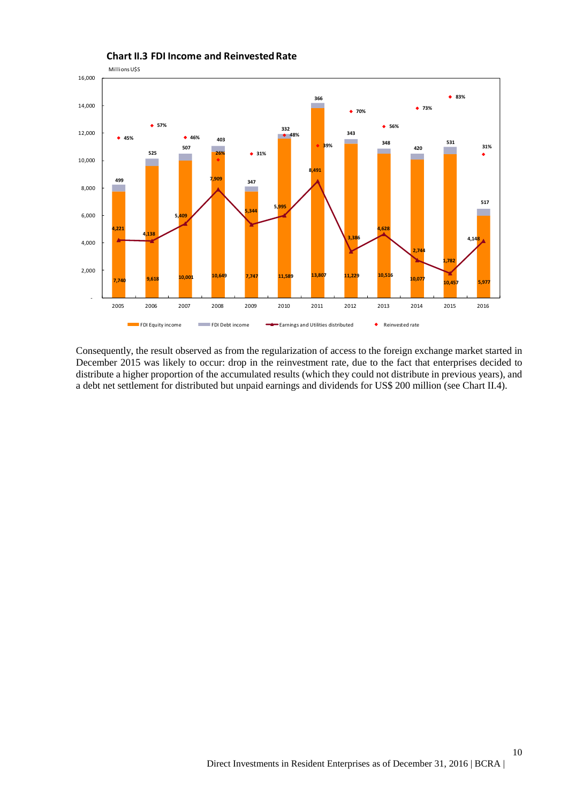

Consequently, the result observed as from the regularization of access to the foreign exchange market started in December 2015 was likely to occur: drop in the reinvestment rate, due to the fact that enterprises decided to distribute a higher proportion of the accumulated results (which they could not distribute in previous years), and a debt net settlement for distributed but unpaid earnings and dividends for US\$ 200 million (see Chart II.4).

### **Chart II.3 FDI Income and Reinvested Rate**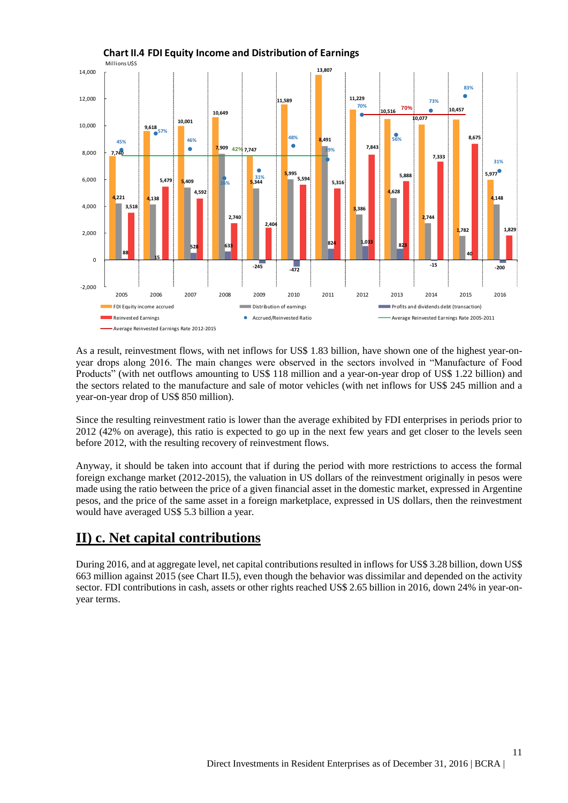

**Chart II.4 FDI Equity Income and Distribution of Earnings** 

As a result, reinvestment flows, with net inflows for US\$ 1.83 billion, have shown one of the highest year-onyear drops along 2016. The main changes were observed in the sectors involved in "Manufacture of Food Products" (with net outflows amounting to US\$ 118 million and a year-on-year drop of US\$ 1.22 billion) and the sectors related to the manufacture and sale of motor vehicles (with net inflows for US\$ 245 million and a year-on-year drop of US\$ 850 million).

Since the resulting reinvestment ratio is lower than the average exhibited by FDI enterprises in periods prior to 2012 (42% on average), this ratio is expected to go up in the next few years and get closer to the levels seen before 2012, with the resulting recovery of reinvestment flows.

Anyway, it should be taken into account that if during the period with more restrictions to access the formal foreign exchange market (2012-2015), the valuation in US dollars of the reinvestment originally in pesos were made using the ratio between the price of a given financial asset in the domestic market, expressed in Argentine pesos, and the price of the same asset in a foreign marketplace, expressed in US dollars, then the reinvestment would have averaged US\$ 5.3 billion a year.

### **II) c. Net capital contributions**

During 2016, and at aggregate level, net capital contributions resulted in inflows for US\$ 3.28 billion, down US\$ 663 million against 2015 (see Chart II.5), even though the behavior was dissimilar and depended on the activity sector. FDI contributions in cash, assets or other rights reached US\$ 2.65 billion in 2016, down 24% in year-onyear terms.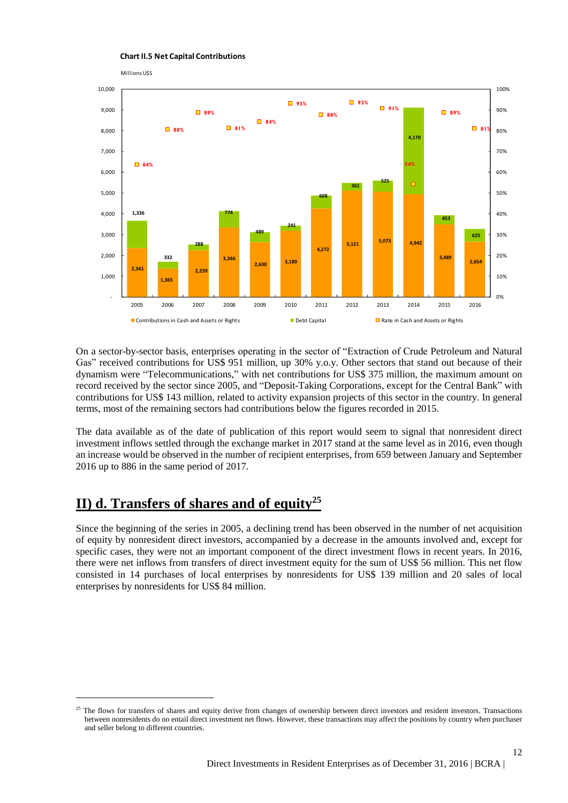



On a sector-by-sector basis, enterprises operating in the sector of "Extraction of Crude Petroleum and Natural Gas" received contributions for US\$ 951 million, up 30% y.o.y. Other sectors that stand out because of their dynamism were "Telecommunications," with net contributions for US\$ 375 million, the maximum amount on record received by the sector since 2005, and "Deposit-Taking Corporations, except for the Central Bank" with contributions for US\$ 143 million, related to activity expansion projects of this sector in the country. In general terms, most of the remaining sectors had contributions below the figures recorded in 2015.

The data available as of the date of publication of this report would seem to signal that nonresident direct investment inflows settled through the exchange market in 2017 stand at the same level as in 2016, even though an increase would be observed in the number of recipient enterprises, from 659 between January and September 2016 up to 886 in the same period of 2017.

### **II) d. Transfers of shares and of equity<sup>25</sup>**

 $\overline{a}$ 

Since the beginning of the series in 2005, a declining trend has been observed in the number of net acquisition of equity by nonresident direct investors, accompanied by a decrease in the amounts involved and, except for specific cases, they were not an important component of the direct investment flows in recent years. In 2016, there were net inflows from transfers of direct investment equity for the sum of US\$ 56 million. This net flow consisted in 14 purchases of local enterprises by nonresidents for US\$ 139 million and 20 sales of local enterprises by nonresidents for US\$ 84 million.

12

<sup>&</sup>lt;sup>25</sup> The flows for transfers of shares and equity derive from changes of ownership between direct investors and resident investors. Transactions between nonresidents do no entail direct investment net flows. However, these transactions may affect the positions by country when purchaser and seller belong to different countries.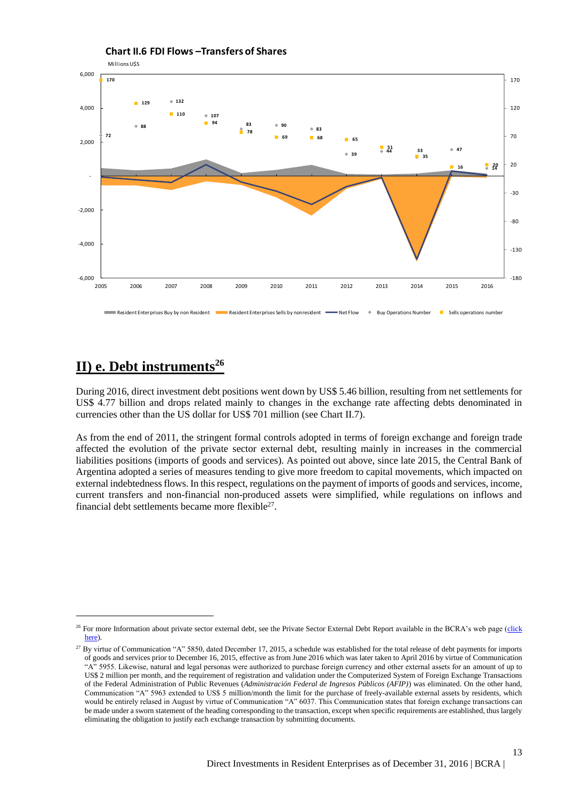

#### Millions U\$S **Chart II.6 FDI Flows –Transfers of Shares**

## **II) e. Debt instruments<sup>26</sup>**

 $\overline{a}$ 

During 2016, direct investment debt positions went down by US\$ 5.46 billion, resulting from net settlements for US\$ 4.77 billion and drops related mainly to changes in the exchange rate affecting debts denominated in currencies other than the US dollar for US\$ 701 million (see Chart II.7).

As from the end of 2011, the stringent formal controls adopted in terms of foreign exchange and foreign trade affected the evolution of the private sector external debt, resulting mainly in increases in the commercial liabilities positions (imports of goods and services). As pointed out above, since late 2015, the Central Bank of Argentina adopted a series of measures tending to give more freedom to capital movements, which impacted on external indebtednessflows. In this respect, regulations on the payment of imports of goods and services, income, current transfers and non-financial non-produced assets were simplified, while regulations on inflows and financial debt settlements became more flexible<sup>27</sup>.

<sup>&</sup>lt;sup>26</sup> For more Information about private sector external debt, see the Private Sector External Debt Report available in the BCRA's web page (click [here\)](http://www.bcra.gov.ar/Pdfs/PublicacionesEstadisticas/IV_2016_Deuda_privada.pdf).

<sup>&</sup>lt;sup>27</sup> By virtue of Communication "A" 5850, dated December 17, 2015, a schedule was established for the total release of debt payments for imports of goods and services prior to December 16, 2015, effective as from June 2016 which was later taken to April 2016 by virtue of Communication "A" 5955. Likewise, natural and legal personas were authorized to purchase foreign currency and other external assets for an amount of up to US\$ 2 million per month, and the requirement of registration and validation under the Computerized System of Foreign Exchange Transactions of the Federal Administration of Public Revenues (*Administración Federal de Ingresos Públicos (AFIP)*) was eliminated. On the other hand, Communication "A" 5963 extended to US\$ 5 million/month the limit for the purchase of freely-available external assets by residents, which would be entirely relased in August by virtue of Communication "A" 6037. This Communication states that foreign exchange transactions can be made under a sworn statement of the heading corresponding to the transaction, except when specific requirements are established, thus largely eliminating the obligation to justify each exchange transaction by submitting documents.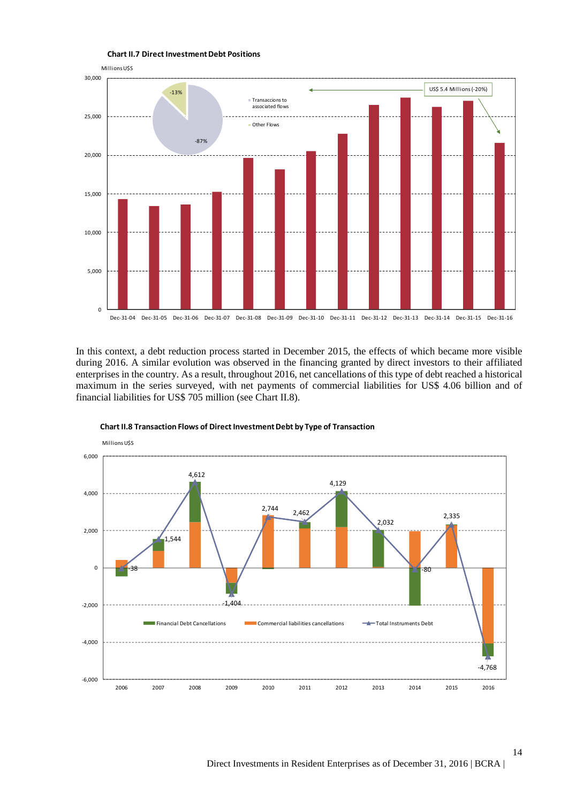

**Chart II.7 Direct Investment Debt Positions** 

In this context, a debt reduction process started in December 2015, the effects of which became more visible during 2016. A similar evolution was observed in the financing granted by direct investors to their affiliated enterprises in the country. As a result, throughout 2016, net cancellations of this type of debt reached a historical maximum in the series surveyed, with net payments of commercial liabilities for US\$ 4.06 billion and of financial liabilities for US\$ 705 million (see Chart II.8).



**Chart II.8 Transaction Flows of Direct Investment Debt by Type of Transaction**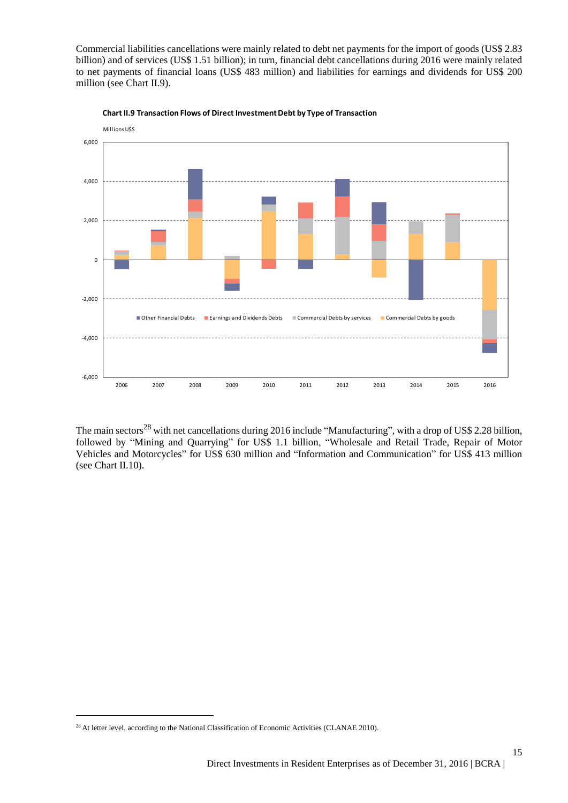Commercial liabilities cancellations were mainly related to debt net payments for the import of goods (US\$ 2.83 billion) and of services (US\$ 1.51 billion); in turn, financial debt cancellations during 2016 were mainly related to net payments of financial loans (US\$ 483 million) and liabilities for earnings and dividends for US\$ 200 million (see Chart II.9).





The main sectors<sup>28</sup> with net cancellations during 2016 include "Manufacturing", with a drop of US\$ 2.28 billion, followed by "Mining and Quarrying" for US\$ 1.1 billion, "Wholesale and Retail Trade, Repair of Motor Vehicles and Motorcycles" for US\$ 630 million and "Information and Communication" for US\$ 413 million (see Chart II.10).

<sup>&</sup>lt;sup>28</sup> At letter level, according to the National Classification of Economic Activities (CLANAE 2010).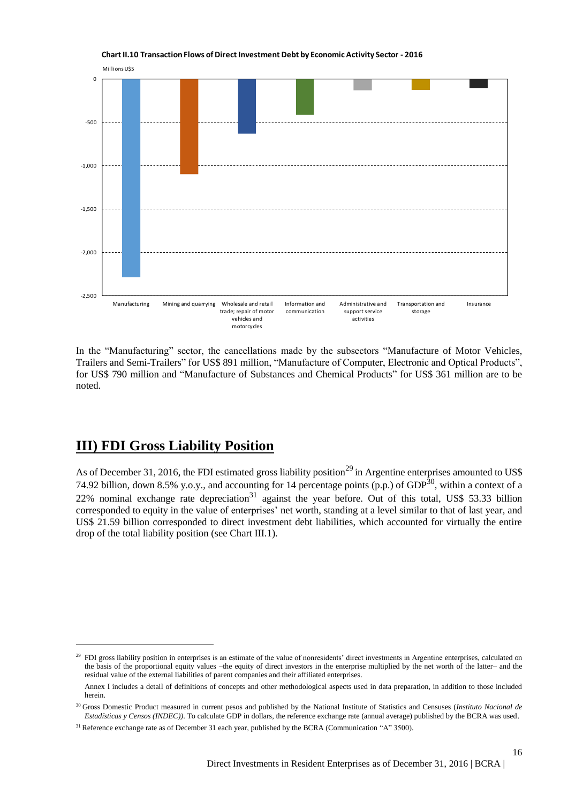

**Chart II.10 Transaction Flows of Direct Investment Debt by Economic Activity Sector - 2016** 

In the "Manufacturing" sector, the cancellations made by the subsectors "Manufacture of Motor Vehicles, Trailers and Semi-Trailers" for US\$ 891 million, "Manufacture of Computer, Electronic and Optical Products", for US\$ 790 million and "Manufacture of Substances and Chemical Products" for US\$ 361 million are to be noted.

### **III) FDI Gross Liability Position**

 $\overline{a}$ 

As of December 31, 2016, the FDI estimated gross liability position<sup>29</sup> in Argentine enterprises amounted to US\$ 74.92 billion, down 8.5% y.o.y., and accounting for 14 percentage points (p.p.) of GDP $^{30}$ , within a context of a  $22\%$  nominal exchange rate depreciation<sup>31</sup> against the year before. Out of this total, US\$ 53.33 billion corresponded to equity in the value of enterprises' net worth, standing at a level similar to that of last year, and US\$ 21.59 billion corresponded to direct investment debt liabilities, which accounted for virtually the entire drop of the total liability position (see Chart III.1).

<sup>&</sup>lt;sup>29</sup> FDI gross liability position in enterprises is an estimate of the value of nonresidents' direct investments in Argentine enterprises, calculated on the basis of the proportional equity values –the equity of direct investors in the enterprise multiplied by the net worth of the latter– and the residual value of the external liabilities of parent companies and their affiliated enterprises.

Annex I includes a detail of definitions of concepts and other methodological aspects used in data preparation, in addition to those included herein.

<sup>30</sup> Gross Domestic Product measured in current pesos and published by the National Institute of Statistics and Censuses (*Instituto Nacional de Estadísticas y Censos (INDEC))*. To calculate GDP in dollars, the reference exchange rate (annual average) published by the BCRA was used.

<sup>&</sup>lt;sup>31</sup> Reference exchange rate as of December 31 each year, published by the BCRA (Communication "A" 3500).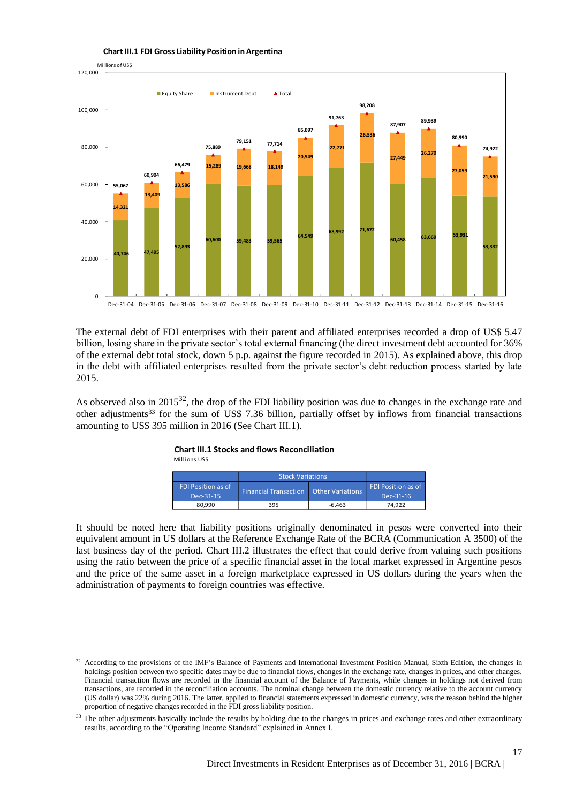

#### **Chart III.1 FDI Gross Liability Position in Argentina**

The external debt of FDI enterprises with their parent and affiliated enterprises recorded a drop of US\$ 5.47 billion, losing share in the private sector's total external financing (the direct investment debt accounted for 36% of the external debt total stock, down 5 p.p. against the figure recorded in 2015). As explained above, this drop in the debt with affiliated enterprises resulted from the private sector's debt reduction process started by late 2015.

As observed also in 2015<sup>32</sup>, the drop of the FDI liability position was due to changes in the exchange rate and other adjustments<sup>33</sup> for the sum of US\$ 7.36 billion, partially offset by inflows from financial transactions amounting to US\$ 395 million in 2016 (See Chart III.1).

#### **Chart III.1 Stocks and flows Reconciliation**

Millions U\$S

 $\overline{a}$ 

|                           | <b>Stock Variations</b>      |                         |                    |
|---------------------------|------------------------------|-------------------------|--------------------|
| <b>FDI Position as of</b> | <b>Financial Transaction</b> | <b>Other Variations</b> | FDI Position as of |
| Dec-31-15                 |                              |                         | Dec-31-16          |
| 80.990                    | 395                          | $-6.463$                | 74.922             |

It should be noted here that liability positions originally denominated in pesos were converted into their equivalent amount in US dollars at the Reference Exchange Rate of the BCRA (Communication A 3500) of the last business day of the period. Chart III.2 illustrates the effect that could derive from valuing such positions using the ratio between the price of a specific financial asset in the local market expressed in Argentine pesos and the price of the same asset in a foreign marketplace expressed in US dollars during the years when the administration of payments to foreign countries was effective.

<sup>32</sup> According to the provisions of the IMF's Balance of Payments and International Investment Position Manual, Sixth Edition, the changes in holdings position between two specific dates may be due to financial flows, changes in the exchange rate, changes in prices, and other changes. Financial transaction flows are recorded in the financial account of the Balance of Payments, while changes in holdings not derived from transactions, are recorded in the reconciliation accounts. The nominal change between the domestic currency relative to the account currency (US dollar) was 22% during 2016. The latter, applied to financial statements expressed in domestic currency, was the reason behind the higher proportion of negative changes recorded in the FDI gross liability position.

<sup>&</sup>lt;sup>33</sup> The other adjustments basically include the results by holding due to the changes in prices and exchange rates and other extraordinary results, according to the "Operating Income Standard" explained in Annex I.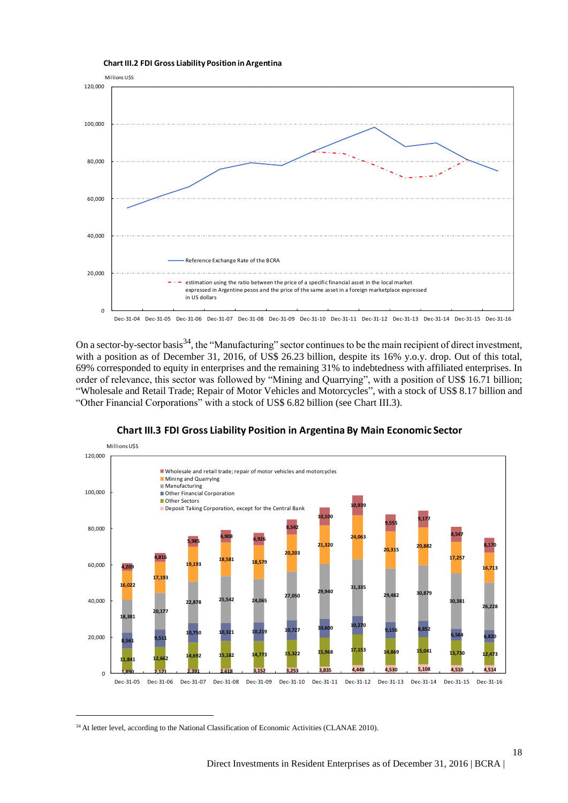

On a sector-by-sector basis<sup>34</sup>, the "Manufacturing" sector continues to be the main recipient of direct investment, with a position as of December 31, 2016, of US\$ 26.23 billion, despite its 16% y.o.y. drop. Out of this total, 69% corresponded to equity in enterprises and the remaining 31% to indebtedness with affiliated enterprises. In order of relevance, this sector was followed by "Mining and Quarrying", with a position of US\$ 16.71 billion; "Wholesale and Retail Trade; Repair of Motor Vehicles and Motorcycles", with a stock of US\$ 8.17 billion and "Other Financial Corporations" with a stock of US\$ 6.82 billion (see Chart III.3).



#### **Chart III.3 FDI Gross Liability Position in Argentina By Main Economic Sector**

 $\overline{a}$ 

18

<sup>&</sup>lt;sup>34</sup> At letter level, according to the National Classification of Economic Activities (CLANAE 2010).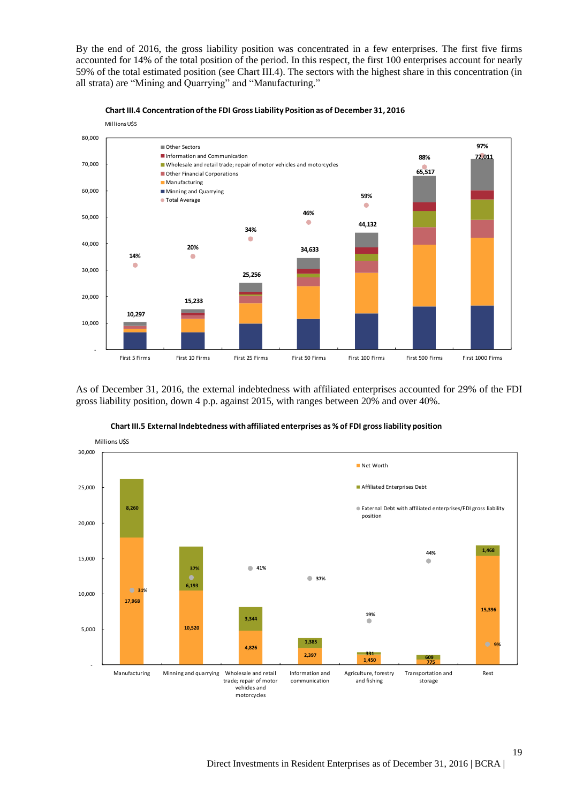By the end of 2016, the gross liability position was concentrated in a few enterprises. The first five firms accounted for 14% of the total position of the period. In this respect, the first 100 enterprises account for nearly 59% of the total estimated position (see Chart III.4). The sectors with the highest share in this concentration (in all strata) are "Mining and Quarrying" and "Manufacturing."





As of December 31, 2016, the external indebtedness with affiliated enterprises accounted for 29% of the FDI gross liability position, down 4 p.p. against 2015, with ranges between 20% and over 40%.



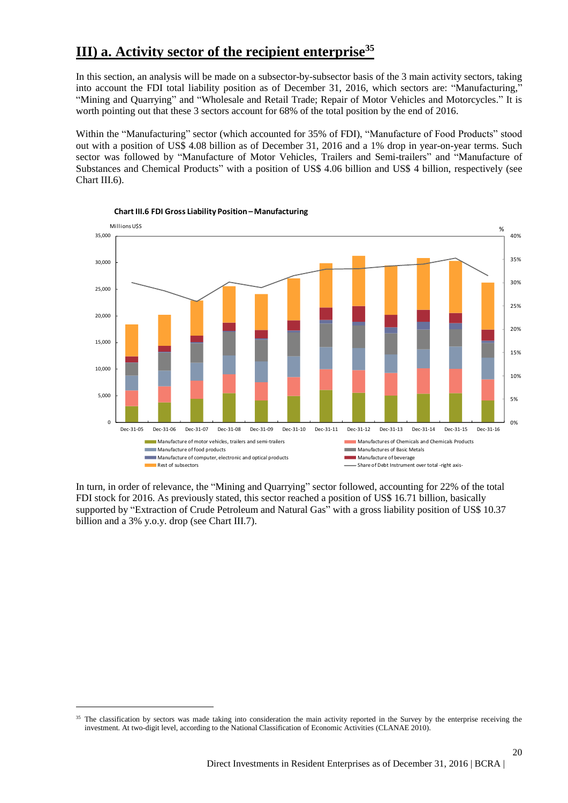## **III) a. Activity sector of the recipient enterprise<sup>35</sup>**

In this section, an analysis will be made on a subsector-by-subsector basis of the 3 main activity sectors, taking into account the FDI total liability position as of December 31, 2016, which sectors are: "Manufacturing," "Mining and Quarrying" and "Wholesale and Retail Trade; Repair of Motor Vehicles and Motorcycles." It is worth pointing out that these 3 sectors account for 68% of the total position by the end of 2016.

Within the "Manufacturing" sector (which accounted for 35% of FDI), "Manufacture of Food Products" stood out with a position of US\$ 4.08 billion as of December 31, 2016 and a 1% drop in year-on-year terms. Such sector was followed by "Manufacture of Motor Vehicles, Trailers and Semi-trailers" and "Manufacture of Substances and Chemical Products" with a position of US\$ 4.06 billion and US\$ 4 billion, respectively (see Chart III.6).





In turn, in order of relevance, the "Mining and Quarrying" sector followed, accounting for 22% of the total FDI stock for 2016. As previously stated, this sector reached a position of US\$ 16.71 billion, basically supported by "Extraction of Crude Petroleum and Natural Gas" with a gross liability position of US\$ 10.37 billion and a 3% y.o.y. drop (see Chart III.7).

<sup>&</sup>lt;sup>35</sup> The classification by sectors was made taking into consideration the main activity reported in the Survey by the enterprise receiving the investment. At two-digit level, according to the National Classification of Economic Activities (CLANAE 2010).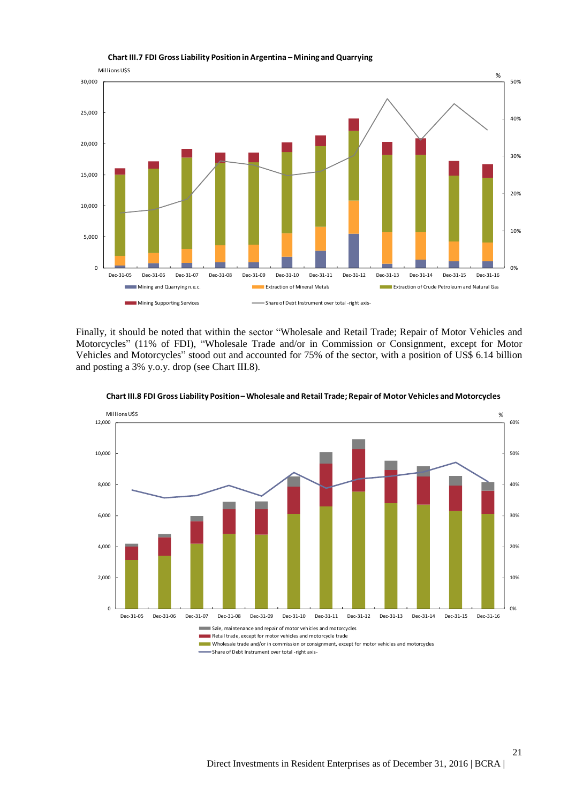



Finally, it should be noted that within the sector "Wholesale and Retail Trade; Repair of Motor Vehicles and Motorcycles" (11% of FDI), "Wholesale Trade and/or in Commission or Consignment, except for Motor Vehicles and Motorcycles" stood out and accounted for 75% of the sector, with a position of US\$ 6.14 billion and posting a 3% y.o.y. drop (see Chart III.8).



**Chart III.8 FDI Gross Liability Position –Wholesale and Retail Trade; Repair of Motor Vehicles and Motorcycles** 

Wholesale trade and/or in commission or consignment, except for motor vehicles and motorcycles

Share of Debt Instrument over total -right axis-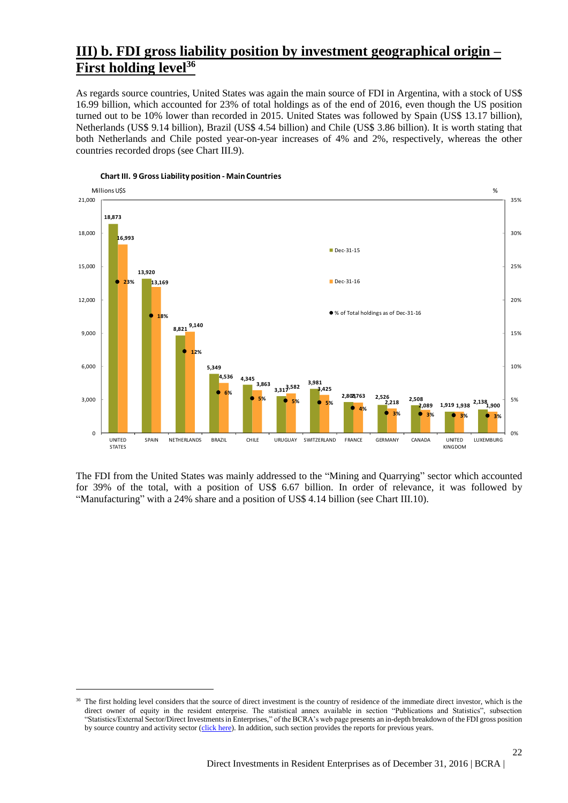## **III) b. FDI gross liability position by investment geographical origin – First holding level<sup>36</sup>**

As regards source countries, United States was again the main source of FDI in Argentina, with a stock of US\$ 16.99 billion, which accounted for 23% of total holdings as of the end of 2016, even though the US position turned out to be 10% lower than recorded in 2015. United States was followed by Spain (US\$ 13.17 billion), Netherlands (US\$ 9.14 billion), Brazil (US\$ 4.54 billion) and Chile (US\$ 3.86 billion). It is worth stating that both Netherlands and Chile posted year-on-year increases of 4% and 2%, respectively, whereas the other countries recorded drops (see Chart III.9).



**Chart III. 9 Gross Liability position - Main Countries**

 $\overline{a}$ 

The FDI from the United States was mainly addressed to the "Mining and Quarrying" sector which accounted for 39% of the total, with a position of US\$ 6.67 billion. In order of relevance, it was followed by "Manufacturing" with a 24% share and a position of US\$ 4.14 billion (see Chart III.10).

<sup>36</sup> The first holding level considers that the source of direct investment is the country of residence of the immediate direct investor, which is the direct owner of equity in the resident enterprise. The statistical annex available in section "Publications and Statistics", subsection "Statistics/External Sector/Direct Investments in Enterprises," of the BCRA's web page presents an in-depth breakdown of the FDI gross position by source country and activity sector [\(click here\)](http://www.bcra.gov.ar/PublicacionesEstadisticas/Inversiones_directas.asp). In addition, such section provides the reports for previous years.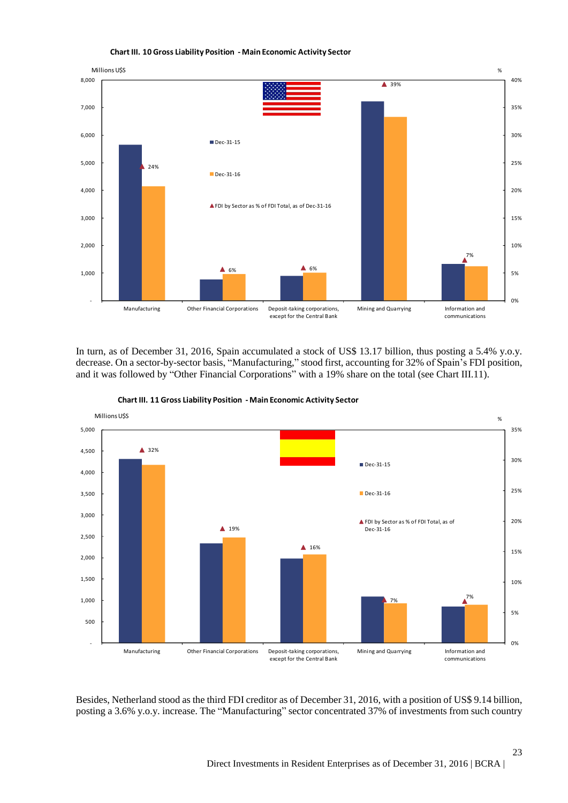

**Chart III. 10 Gross Liability Position - Main Economic Activity Sector**

In turn, as of December 31, 2016, Spain accumulated a stock of US\$ 13.17 billion, thus posting a 5.4% y.o.y. decrease. On a sector-by-sector basis, "Manufacturing," stood first, accounting for 32% of Spain's FDI position, and it was followed by "Other Financial Corporations" with a 19% share on the total (see Chart III.11).



**Chart III. 11 Gross Liability Position - Main Economic Activity Sector**

Besides, Netherland stood as the third FDI creditor as of December 31, 2016, with a position of US\$ 9.14 billion, posting a 3.6% y.o.y. increase. The "Manufacturing" sector concentrated 37% of investments from such country

23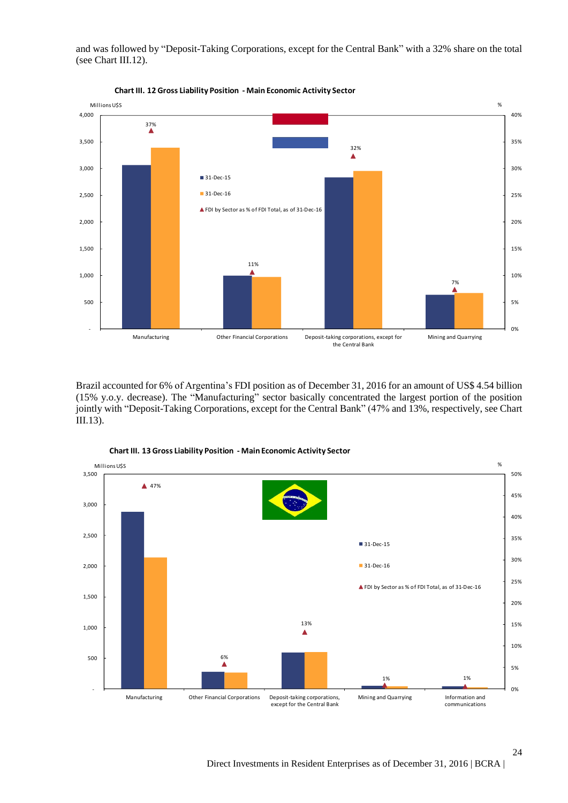and was followed by "Deposit-Taking Corporations, except for the Central Bank" with a 32% share on the total (see Chart III.12).



**Chart III. 12 Gross Liability Position - Main Economic Activity Sector**

Brazil accounted for 6% of Argentina's FDI position as of December 31, 2016 for an amount of US\$ 4.54 billion (15% y.o.y. decrease). The "Manufacturing" sector basically concentrated the largest portion of the position jointly with "Deposit-Taking Corporations, except for the Central Bank" (47% and 13%, respectively, see Chart III.13).



**Chart III. 13 Gross Liability Position - Main Economic Activity Sector**

Direct Investments in Resident Enterprises as of December 31, 2016 | BCRA |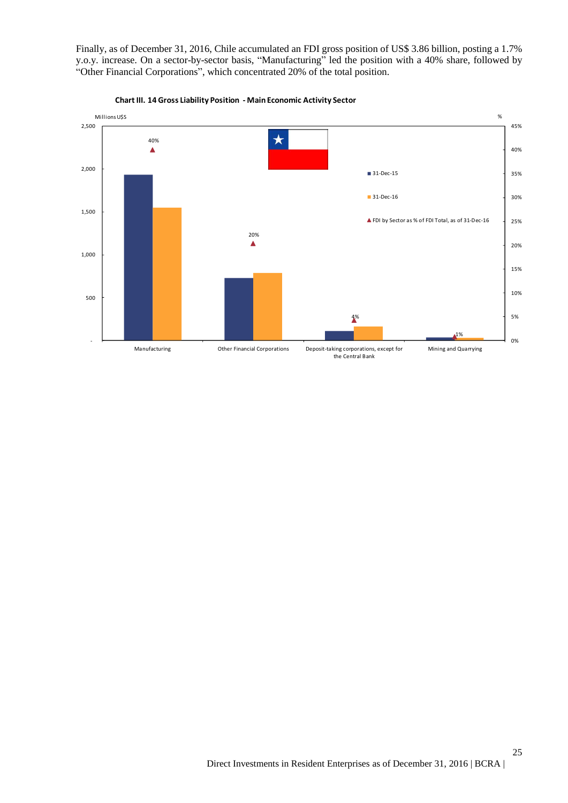Finally, as of December 31, 2016, Chile accumulated an FDI gross position of US\$ 3.86 billion, posting a 1.7% y.o.y. increase. On a sector-by-sector basis, "Manufacturing" led the position with a 40% share, followed by "Other Financial Corporations", which concentrated 20% of the total position.



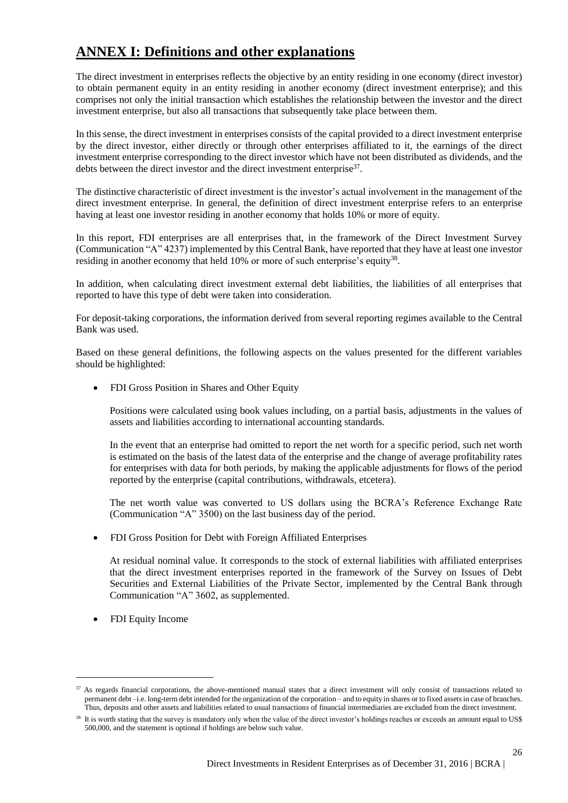## **ANNEX I: Definitions and other explanations**

The direct investment in enterprises reflects the objective by an entity residing in one economy (direct investor) to obtain permanent equity in an entity residing in another economy (direct investment enterprise); and this comprises not only the initial transaction which establishes the relationship between the investor and the direct investment enterprise, but also all transactions that subsequently take place between them.

In this sense, the direct investment in enterprises consists of the capital provided to a direct investment enterprise by the direct investor, either directly or through other enterprises affiliated to it, the earnings of the direct investment enterprise corresponding to the direct investor which have not been distributed as dividends, and the debts between the direct investor and the direct investment enterprise<sup>37</sup>.

The distinctive characteristic of direct investment is the investor's actual involvement in the management of the direct investment enterprise. In general, the definition of direct investment enterprise refers to an enterprise having at least one investor residing in another economy that holds 10% or more of equity.

In this report, FDI enterprises are all enterprises that, in the framework of the Direct Investment Survey (Communication "A" 4237) implemented by this Central Bank, have reported that they have at least one investor residing in another economy that held 10% or more of such enterprise's equity<sup>38</sup>.

In addition, when calculating direct investment external debt liabilities, the liabilities of all enterprises that reported to have this type of debt were taken into consideration.

For deposit-taking corporations, the information derived from several reporting regimes available to the Central Bank was used.

Based on these general definitions, the following aspects on the values presented for the different variables should be highlighted:

• FDI Gross Position in Shares and Other Equity

Positions were calculated using book values including, on a partial basis, adjustments in the values of assets and liabilities according to international accounting standards.

In the event that an enterprise had omitted to report the net worth for a specific period, such net worth is estimated on the basis of the latest data of the enterprise and the change of average profitability rates for enterprises with data for both periods, by making the applicable adjustments for flows of the period reported by the enterprise (capital contributions, withdrawals, etcetera).

The net worth value was converted to US dollars using the BCRA's Reference Exchange Rate (Communication "A" 3500) on the last business day of the period.

FDI Gross Position for Debt with Foreign Affiliated Enterprises

At residual nominal value. It corresponds to the stock of external liabilities with affiliated enterprises that the direct investment enterprises reported in the framework of the Survey on Issues of Debt Securities and External Liabilities of the Private Sector, implemented by the Central Bank through Communication "A" 3602, as supplemented.

FDI Equity Income

<sup>&</sup>lt;sup>37</sup> As regards financial corporations, the above-mentioned manual states that a direct investment will only consist of transactions related to permanent debt –i.e. long-term debt intended for the organization of the corporation – and to equity in shares or to fixed assets in case of branches. Thus, deposits and other assets and liabilities related to usual transactions of financial intermediaries are excluded from the direct investment.

<sup>&</sup>lt;sup>38</sup> It is worth stating that the survey is mandatory only when the value of the direct investor's holdings reaches or exceeds an amount equal to US\$ 500,000, and the statement is optional if holdings are below such value.